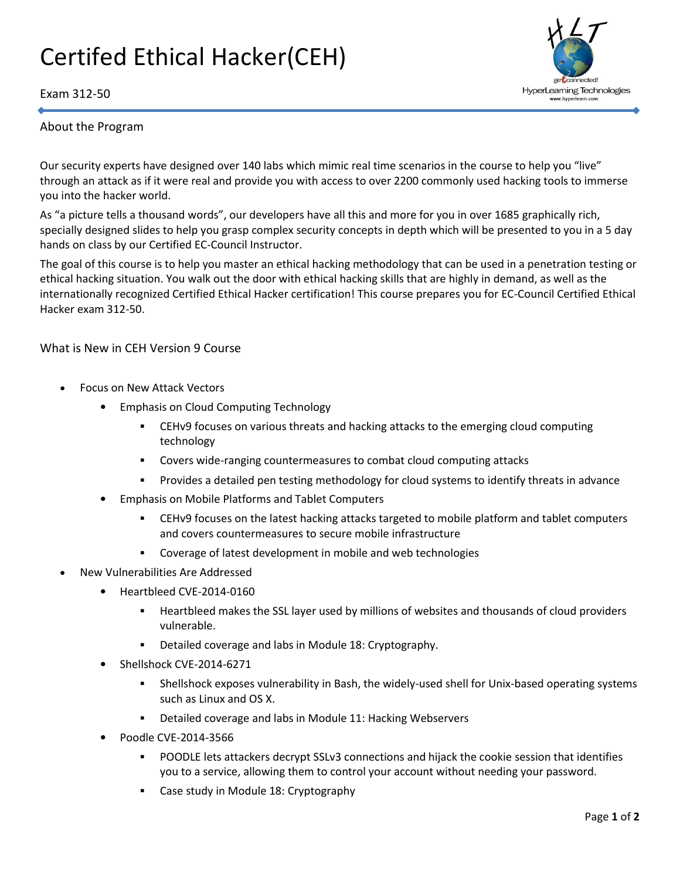## Certifed Ethical Hacker(CEH)





## About the Program

Our security experts have designed over 140 labs which mimic real time scenarios in the course to help you "live" through an attack as if it were real and provide you with access to over 2200 commonly used hacking tools to immerse you into the hacker world.

As "a picture tells a thousand words", our developers have all this and more for you in over 1685 graphically rich, specially designed slides to help you grasp complex security concepts in depth which will be presented to you in a 5 day hands on class by our Certified EC-Council Instructor.

The goal of this course is to help you master an ethical hacking methodology that can be used in a penetration testing or ethical hacking situation. You walk out the door with ethical hacking skills that are highly in demand, as well as the internationally recognized Certified Ethical Hacker certification! This course prepares you for EC-Council Certified Ethical Hacker exam 312-50.

What is New in CEH Version 9 Course

- Focus on New Attack Vectors
	- Emphasis on Cloud Computing Technology
		- **EXECT 6.5 THS FOOT STARS IS A SET ASSET VARYAN** CERTIFY CERTIFY COMBINITY CERTIFY COMPUTING technology
		- Covers wide-ranging countermeasures to combat cloud computing attacks
		- Provides a detailed pen testing methodology for cloud systems to identify threats in advance
	- Emphasis on Mobile Platforms and Tablet Computers
		- CEHv9 focuses on the latest hacking attacks targeted to mobile platform and tablet computers and covers countermeasures to secure mobile infrastructure
		- Coverage of latest development in mobile and web technologies
- New Vulnerabilities Are Addressed
	- Heartbleed CVE-2014-0160
		- **EXECT** Heartbleed makes the SSL layer used by millions of websites and thousands of cloud providers vulnerable.
		- Detailed coverage and labs in Module 18: Cryptography.
	- Shellshock CVE-2014-6271
		- Shellshock exposes vulnerability in Bash, the widely-used shell for Unix-based operating systems such as Linux and OS X.
		- Detailed coverage and labs in Module 11: Hacking Webservers
	- Poodle CVE-2014-3566
		- POODLE lets attackers decrypt SSLv3 connections and hijack the cookie session that identifies you to a service, allowing them to control your account without needing your password.
		- **EXEC** Case study in Module 18: Cryptography